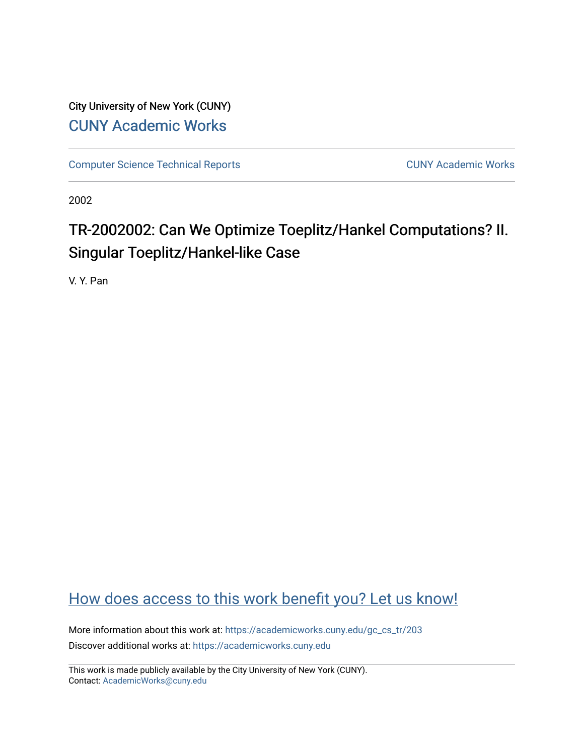City University of New York (CUNY) [CUNY Academic Works](https://academicworks.cuny.edu/) 

[Computer Science Technical Reports](https://academicworks.cuny.edu/gc_cs_tr) **CUNY Academic Works** CUNY Academic Works

2002

# TR-2002002: Can We Optimize Toeplitz/Hankel Computations? II. Singular Toeplitz/Hankel-like Case

V. Y. Pan

## [How does access to this work benefit you? Let us know!](http://ols.cuny.edu/academicworks/?ref=https://academicworks.cuny.edu/gc_cs_tr/203)

More information about this work at: [https://academicworks.cuny.edu/gc\\_cs\\_tr/203](https://academicworks.cuny.edu/gc_cs_tr/203)  Discover additional works at: [https://academicworks.cuny.edu](https://academicworks.cuny.edu/?)

This work is made publicly available by the City University of New York (CUNY). Contact: [AcademicWorks@cuny.edu](mailto:AcademicWorks@cuny.edu)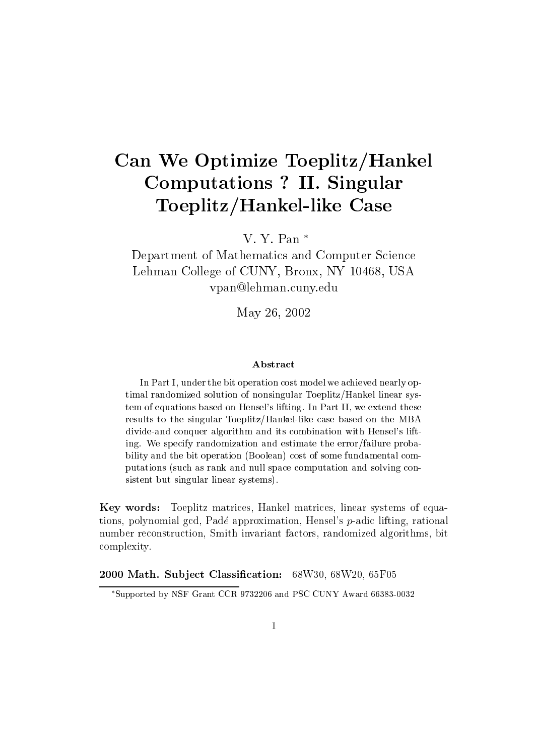# Can We Optimize Toeplitz/Hankel Computations ? In the computations ? In the computations ? In the computations ? In the computations ? In the computations ? In the computations ? In the computations ? In the computations ? In the computations ? In the co  $\sim$  . To a set of the Case  $\sim$  . The case  $\sim$   $\sim$

V. Y. Pan

Department of Mathematics and Computer Science Lehman College of CUNY, Bronx, NY 10468, USA vpan@lehman.cuny.edu

May 26, 2002

### Abstract

In Part I, under the bit operation cost model we achieved nearly optimal randomized solution of nonsingular Toeplitz/Hankel linear system of equations based on Hensel's lifting. In Part II, we extend these results to the singular Toeplitz/Hankel-like case based on the MBA divide-and conquer algorithm and its combination with Hensel's lifting. We specify randomization and estimate the error/failure probability and the bit operation (Boolean) cost of some fundamental computations (such as rank and null space computation and solving consistent but singular linear systems).

Key words: Toeplitz matrices, Hankel matrices, linear systems of equations, polynomial gcd, Padé approximation, Hensel's  $p$ -adic lifting, rational number reconstruction, Smith invariant factors, randomized algorithms, bit complexity.

2000 Math. Subject Classification: 68W30, 68W20, 65F05

Supported by NSF Grant CCR 9732206 and PSC CUNY Award 66383-0032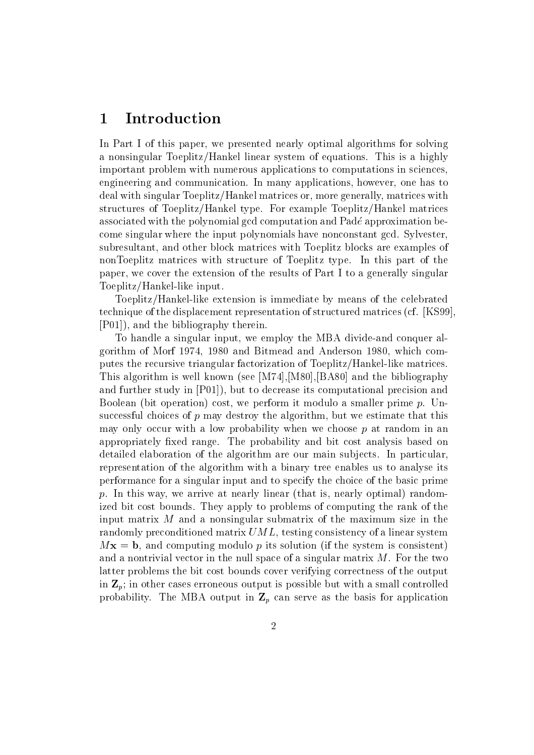### 1Introduction

In Part I of this paper, we presented nearly optimal algorithms for solving a nonsingular Toeplitz/Hankel linear system of equations. This is a highly important problem with numerous applications to computations in sciences, engineering and communication. In many applications, however, one has to deal with singular Toeplitz/Hankel matrices or, more generally, matrices with structures of Toeplitz/Hankel type. For example Toeplitz/Hankel matrices associated with the polynomial gcd computation and Pade approximation become singular where the input polynomials have nonconstant gcd. Sylvester, subresultant, and other block matrices with Toeplitz blocks are examples of nonToeplitz matrices with structure of Toeplitz type. In this part of the paper, we cover the extension of the results of Part I to a generally singular Toeplitz/Hankel-like input.

Toeplitz/Hankel-like extension is immediate by means of the celebrated technique of the displacement representation of structured matrices (cf. [KS99], [P01]), and the bibliography therein.

To handle a singular input, we employ the MBA divide-and conquer algorithm of Morf 1974, 1980 and Bitmead and Anderson 1980, which computes the recursive triangular factorization of Toeplitz/Hankel-like matrices. This algorithm is well known (see [M74],[M80],[BA80] and the bibliography and further study in [P01]), but to decrease its computational precision and Boolean (bit operation) cost, we perform it modulo a smaller prime  $p$ . Unsuccessful choices of  $p$  may destroy the algorithm, but we estimate that this may only occur with a low probability when we choose  $p$  at random in an appropriately fixed range. The probability and bit cost analysis based on detailed elaboration of the algorithm are our main subjects. In particular, representation of the algorithm with a binary tree enables us to analyse its performance for a singular input and to specify the choice of the basic prime p. In this way, we arrive at nearly linear (that is, nearly optimal) randomized bit cost bounds. They apply to problems of computing the rank of the input matrix  $M$  and a nonsingular submatrix of the maximum size in the randomly preconditioned matrix UML, testing consistency of a linear system  $Mx = b$ , and computing modulo p its solution (if the system is consistent) and a nontrivial vector in the null space of a singular matrix  $M$ . For the two latter problems the bit cost bounds cover verifying correctness of the output in  $\mathbf{Z}_p$ ; in other cases erroneous output is possible but with a small controlled probability. The MBA output in  $\mathbb{Z}_p$  can serve as the basis for application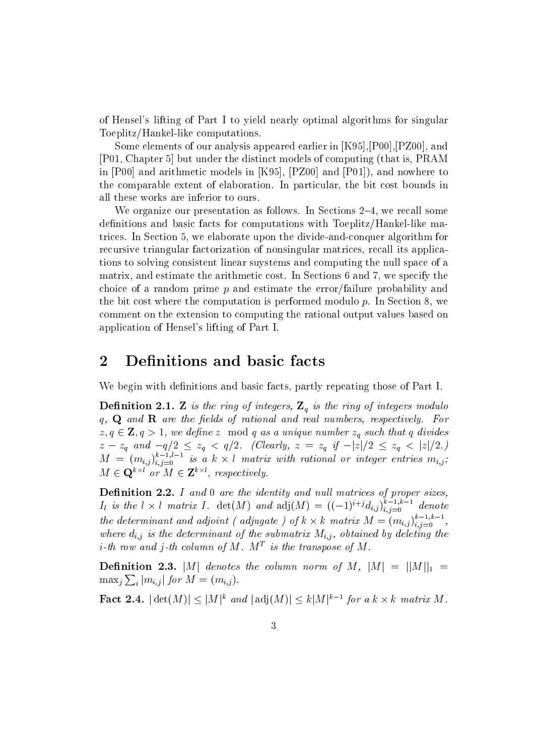of Hensel's lifting of Part I to yield nearly optimal algorithms for singular Toeplitz/Hankel-like computations.

Some elements of our analysis appeared earlier in [K95],[P00],[PZ00], and [P01, Chapter 5] but under the distinct models of computing (that is, PRAM in [P00] and arithmetic models in [K95], [PZ00] and [P01]), and nowhere to the comparable extent of elaboration. In particular, the bit cost bounds in all these works are inferior to ours.

We organize our presentation as follows. In Sections  $2-4$ , we recall some definitions and basic facts for computations with Toeplitz/Hankel-like matrices. In Section 5, we elaborate upon the divide-and-conquer algorithm for recursive triangular factorization of nonsingular matrices, recall its applications to solving consistent linear suystems and computing the null space of a matrix, and estimate the arithmetic cost. In Sections 6 and 7, we specify the choice of a random prime p and estimate the error/failure probability and the bit cost where the computation is performed modulo  $p$ . In Section 8, we comment on the extension to computing the rational output values based on application of Hensel's lifting of Part I.

### 2Definitions and basic facts

We begin with definitions and basic facts, partly repeating those of Part I.

**Definition 2.1. Z** is the ring of integers,  $\mathbf{Z}_q$  is the ring of integers modulo q,  $\bf{Q}$  and  $\bf{R}$  are the fields of rational and real numbers, respectively. For  $z, q \in \mathbf{Z}, q > 1$ , we define z mod q as a unique number  $z_q$  such that q divides  $z - z_q$  and  $-q/2 \le z_q < q/2$ . (Clearly,  $z = z_q$  if  $-|z|/2 \le z_q < |z|/2$ .)  $M = (m_{i,j})_{i,j=0}^{\infty}$  is a k  $\times$  l matrix with rational or integer entries  $m_{i,j};$  $M \in \mathbf{Q}^{k \times k}$  or  $M \in \mathbf{Z}^{k \times k}$ , respectively.

Denition 2.2. I and 0 are the identity and nul l matrices of proper sizes,  $I_l$  is the l  $\times$  l matrix I.  $det(M)$  and  $adj(M) = ((-1)^{i+j}d_{i,j})_{i,j=0}^{i-j}$  denote the determinant and adjoint (adjugate ) of  $k \times k$  matrix  $M = (m_{i,j})_{i,j=0}^{n}$ , where  $d_{i,j}$  is the determinant of the submatrix  $M_{i,j}$ , obtained by deleting the  $i$ -th row and  $j$ -th column of M. MT is the transpose of M .  $\blacksquare$ 

**Definition 2.3.** |M| denotes the column norm of M,  $|M| = ||M||_1$  =  $\max_j \sum_i |m_{i,j}|$  for  $M = (m_{i,j}).$ 

**Fact 2.4.**  $|\det(M)| \leq |M|^k$  and  $|\det(M)| \leq k|M|^{k-1}$  for a  $k \times k$  matrix M.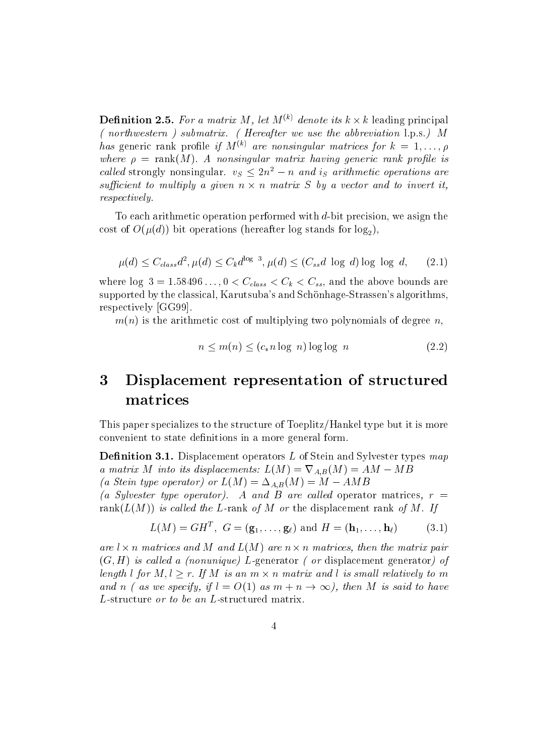**Definition 2.5.** For a matrix M, let  $M^{(k)}$  denote its  $k \times k$  leading principal ( northwestern ) submatrix. ( Hereafter we use the abbreviation l.p.s.) M has generic rank profile if  $M^{(k)}$  are nonsingular matrices for  $k = 1, \ldots, \rho$ where  $\rho = \text{rank}(M)$ . A nonsingular matrix having generic rank profile is called strongly nonsingular.  $v_S \leq 2n^2 - n$  and is arithmetic operations are sufficient to multiply a given  $n \times n$  matrix  $S$  by a vector and to invert it, respectively.

To each arithmetic operation performed with d-bit precision, we asign the cost of  $O(\mu(d))$  bit operations (hereafter log stands for log<sub>2</sub>),

$$
\mu(d) \le C_{class}d^2, \mu(d) \le C_k d^{\log 3}, \mu(d) \le (C_{ss}d \log d) \log \log d, \quad (2.1)
$$

where  $\log 3 = 1.58496 \ldots$ ,  $0 < C_{class} < C_k < C_{ss}$ , and the above bounds are supported by the classical, Karutsuba's and Schönhage-Strassen's algorithms, respectively [GG99].

$$
n \le m(n) \le (c_* n \log n) \log \log n \tag{2.2}
$$

### 3 Displacement representation of structured matrices

This paper specializes to the structure of Toeplitz/Hankel type but it is more convenient to state definitions in a more general form.

**Definition 3.1.** Displacement operators  $L$  of Stein and Sylvester types map a matrix M into its displacements:  $L(M) = \nabla_{A,B}(M) = AM - MB$ (a Stein type operator) or  $L(M) = \Delta_{A,B}(M) = M - AMB$ 

(a Sylvester type operator). A and B are called operator matrices,  $r =$ rank $(L(M))$  is called the L-rank of M or the displacement rank of M. If

$$
L(M) = GH^T, \ G = (\mathbf{g}_1, \dots, \mathbf{g}_\ell) \text{ and } H = (\mathbf{h}_1, \dots, \mathbf{h}_\ell) \tag{3.1}
$$

are  $l \times n$  matrices and M and  $L(M)$  are  $n \times n$  matrices, then the matrix pair  $(G, H)$  is called a (nonunique) L-generator ( or displacement generator) of length l for  $M, l \geq r$ . If M is an  $m \times n$  matrix and l is small relatively to m and n ( as we specify, if  $l = O(1)$  as  $m + n \rightarrow \infty$ ), then M is said to have L-structure or to be an L-structured matrix.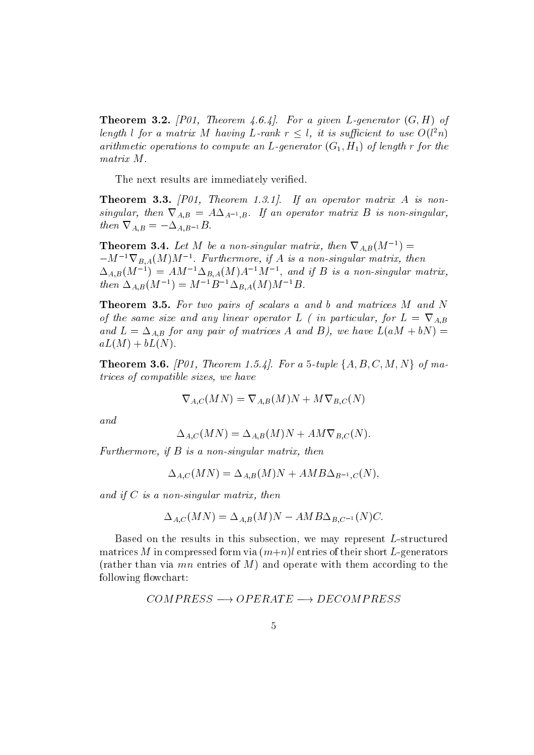**Theorem 3.2.** [P01, Theorem 4.6.4]. For a given L-generator  $(G, H)$  of length l for a matrix M having L-rank  $r \leq l$ , it is sufficient to use  $O(l^2n)$ arithmetic operations to compute an L-generator  $(G_1, H_1)$  of length r for the matrix M.

The next results are immediately verified.

**Theorem 3.3.**  $[P01, Theorem 1.3.1].$  If an operator matrix A is nonsingular, then  $\nabla_{A,B} = A \Delta_{A^{-1},B}$ . If an operator matrix B is non-singular, then  $\nabla_{A,B} = -\Delta_{A,B^{-1}}B$ .

**Theorem 3.4.** Let M be a non-singular matrix, then  $\nabla_{A,B}(M^{-1}) =$  $-M^{-1}\nabla_{B,A}(M)M^{-1}$ . Furthermore, if A is a non-singular matrix, then . Furthermore, if  $\sim$  is a non-singular matrix, then  $\sim$  $\Delta_{A,B}(M_{\perp}) = AM_{\perp} \Delta_{B,A}(M)A_{\perp}M_{\perp}$ , and if  $B$  is a non-singular matrix, then  $\Delta_{A,B}(M^-) = M^{-1}B^{-1}\Delta_{B,A}(M)M^{-1}B$ .

Theorem 3.5. For two pairs of scalars a and b and matrices M and N of the same size and any linear operator L ( in particular, for  $L = \nabla_{A,B}$ and  $L = \Delta_{A,B}$  for any pair of matrices A and B), we have  $L(aM + bN) =$  $aL(M) + bL(N).$ 

**Theorem 3.6.** [P01, Theorem 1.5.4]. For a 5-tuple  $\{A, B, C, M, N\}$  of matrices of compatible sizes, we have

$$
\nabla_{A,C}(MN) = \nabla_{A,B}(M)N + M \nabla_{B,C}(N)
$$

and

$$
\Delta_{A,C}(MN) = \Delta_{A,B}(M)N + AM\nabla_{B,C}(N).
$$

Furthermore, if  $B$  is a non-singular matrix, then

$$
\Delta_{A,C}(MN) = \Delta_{A,B}(M)N + AMB\Delta_{B^{-1},C}(N),
$$

and if  $C$  is a non-singular matrix, then

$$
\Delta_{A,C}(MN) = \Delta_{A,B}(M)N - AMB\Delta_{B,C^{-1}}(N)C.
$$

Based on the results in this subsection, we may represent L-structured matrices M in compressed form via  $(m+n)$  entries of their short L-generators (rather than via  $mn$  entries of M) and operate with them according to the following flowchart:

$$
COMPRESS \longrightarrow OPERATE \longrightarrow DECOMPRESS
$$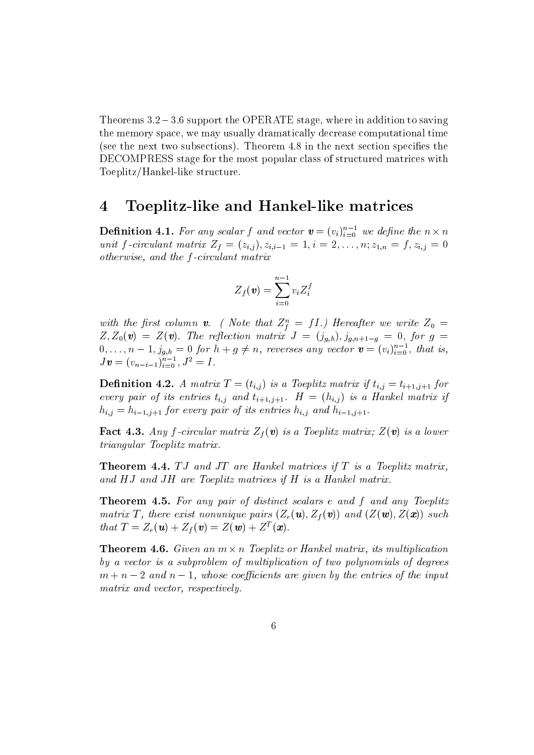Theorems  $3.2 - 3.6$  support the OPERATE stage, where in addition to saving the memory space, we may usually dramatically decrease computational time (see the next two subsections). Theorem 4.8 in the next section specifies the DECOMPRESS stage for the most popular class of structured matrices with Toeplitz/Hankel-like structure.

### 4Toeplitz-like and Hankel-like matrices

**Definition 4.1.** For any scalar f and vector  $\boldsymbol{v} = (v_i)_{i=0}^{\infty}$  we define the  $n \times n$ unit f-circulant matrix  $Z_f = (z_{i,j}), z_{i,i-1} = 1, i = 2,...,n; z_{1,n} = f, z_{i,j} = 0$ otherwise, and the f -circulant matrix

$$
Z_f(\boldsymbol{v}) = \sum_{i=0}^{n-1} v_i Z_i^f
$$

with the first column **v**. ( Note that  $Z_f^c = J1$ .) Hereafter we write  $Z_0 =$  $Z_0, \ldots, n-1, j_{g,h} = 0$  for  $h + g \neq n$ , reverses any vector  $\mathbf{v} = (v_i)_{i=0}^{n-1}$ , that is,  $J\bm{v} = (v_{n-i-1})_{i=0}^{\mathcal{N}}, J^2 = I$ .

**Definition 4.2.** A matrix  $T = (t_{i,j})$  is a Toeplitz matrix if  $t_{i,j} = t_{i+1,j+1}$  for every pair of its entries  $t_{i,j}$  and  $t_{i+1,j+1}$ .  $H = (h_{i,j})$  is a Hankel matrix if  $h_{i,j} = h_{i-1,j+1}$  for every pair of its entries  $h_{i,j}$  and  $h_{i-1,j+1}$ .

Fact 4.3. Any f-circular matrix  $Z_f(\mathbf{v})$  is a Toeplitz matrix;  $Z(\mathbf{v})$  is a lower triangular Toeplitz matrix.

**Theorem 4.4.**  $TJ$  and  $JT$  are Hankel matrices if  $T$  is a Toeplitz matrix, and HJ and JH are Toeplitz matrices if H is a Hankel matrix.

**Theorem 4.5.** For any pair of distinct scalars e and f and any Toeplitz matrix T, there exist nonunique pairs  $(Z_e(\mathbf{u}), Z_f(\mathbf{v}))$  and  $(Z(\mathbf{w}), Z(\mathbf{x}))$  such that  $\mathbf{I} = Z_e(\mathbf{u}) + Z_f(\mathbf{v}) = Z(\mathbf{w}) + Z(\mathbf{x}).$ 

**Theorem 4.6.** Given an  $m \times n$  Toeplitz or Hankel matrix, its multiplication by a vector is a subproblem of multiplication of two polynomials of degrees  $m + n - 2$  and  $n - 1$ , whose coefficients are given by the entries of the input matrix and vector, respectively.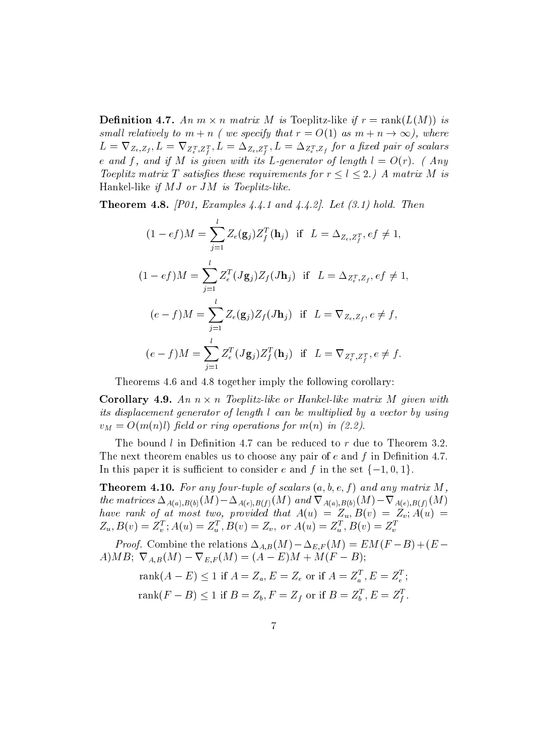**Definition** 4.7. An  $m \times n$  matrix M is Toeplitz-like if  $r = \text{rank}(L(M))$  is small relatively to  $m + n$  (we specify that  $r = O(1)$  as  $m + n \rightarrow \infty$ ), where  $L=\nabla_{Z_e,Z_f}, L=\nabla_{Z_e^T,Z_i^T}, L=\Delta_{Z_e,Z_i^T}, L=\Delta_{Z_e^T,Z_f}$  for a fixed pair of scalars f<sub>i</sub> f<sub>i</sub> e and f, and if M is given with its L-generator of length  $l = O(r)$ . (Any Toeplitz matrix T satisfies these requirements for  $r \leq l \leq 2$ .) A matrix M is Hankel-like if  $MJ$  or  $JM$  is Toeplitz-like.

**Theorem 4.8.** [P01, Examples 4.4.1 and 4.4.2]. Let  $(3.1)$  hold. Then

$$
(1 - ef)M = \sum_{j=1}^{l} Z_e(\mathbf{g}_j) Z_f^T(\mathbf{h}_j) \text{ if } L = \Delta_{Z_e, Z_f^T}, ef \neq 1,
$$
  

$$
(1 - ef)M = \sum_{j=1}^{l} Z_e^T(J\mathbf{g}_j) Z_f(J\mathbf{h}_j) \text{ if } L = \Delta_{Z_e^T, Z_f}, ef \neq 1,
$$
  

$$
(e - f)M = \sum_{j=1}^{l} Z_e(\mathbf{g}_j) Z_f(J\mathbf{h}_j) \text{ if } L = \nabla_{Z_e, Z_f}, e \neq f,
$$
  

$$
(e - f)M = \sum_{j=1}^{l} Z_e^T(J\mathbf{g}_j) Z_f^T(\mathbf{h}_j) \text{ if } L = \nabla_{Z_e^T, Z_f^T}, e \neq f.
$$

Theorems 4.6 and 4.8 together imply the following corollary:

**Corollary 4.9.** An  $n \times n$  Toeplitz-like or Hankel-like matrix M qiven with its displacement generator of length l can be multiplied by a vector by using  $v_M = O(m(n)l)$  field or ring operations for  $m(n)$  in (2.2).

The bound  $l$  in Definition 4.7 can be reduced to  $r$  due to Theorem 3.2. The next theorem enables us to choose any pair of  $e$  and  $f$  in Definition 4.7. In this paper it is sufficient to consider e and f in the set  $\{-1, 0, 1\}$ .

**Theorem 4.10.** For any four-tuple of scalars  $(a, b, e, f)$  and any matrix M, the matrices  $\Delta_{A(a),B(b)}(M)-\Delta_{A(e),B(f)}(M)$  and  $\nabla_{A(a),B(b)}(M)-\nabla_{A(e),B(f)}(M)$ have rank of at most two, provided that  $A(u) = Z_u, B(v) = Z_v, A(u) =$  $Z_u, B(v) \equiv Z_v$ ;  $A(u) \equiv Z_u$ ,  $B(v) \equiv Z_v$ , or  $A(u) \equiv Z_u$ ,  $B(v) \equiv Z_v$ 

*Proof.* Combine the relations  $\Delta_{A,B}(M) - \Delta_{E,F}(M) = EM(F - B) + (E -$ A)MB;  $\nabla_{A,B}(M) - \nabla_{E,F}(M) = (A - E)M + M(F - B);$ 

$$
rank(A - E) \le 1 \text{ if } A = Z_a, E = Z_e \text{ or if } A = Z_a^T, E = Z_e^T;
$$
  

$$
rank(F - B) \le 1 \text{ if } B = Z_b, F = Z_f \text{ or if } B = Z_b^T, E = Z_f^T.
$$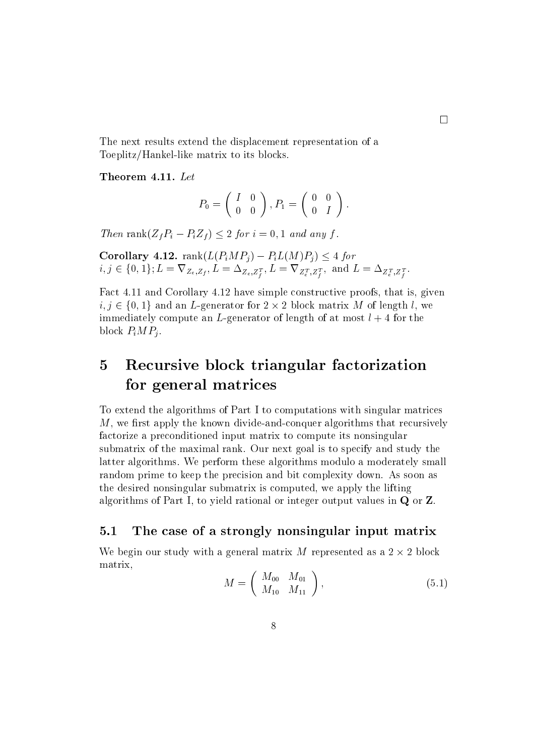$\square$ Toeplitz/Hankel-like matrix to its blocks.

Theorem 4.11. Let

$$
P_0=\left(\begin{array}{cc}I&0\\0&0\end{array}\right), P_1=\left(\begin{array}{cc}0&0\\0&I\end{array}\right).
$$

Then rank $(Z_f P_i - P_i Z_f) \le 2$  for  $i = 0, 1$  and any f.<br>Corollary 4.12. rank $(L(P_i MP_j) - P_i L(M)P_j) \le 4$  for  $i,j\in\{0,1\}; L=\nabla_{Z_e,Z_f}, L=\Delta_{Z_e,Z_f^T}, L=\nabla_{Z_e^T,Z_f^T}, \text{ and } L=\Delta_{Z_e^T,Z_f^T}.$ 

Fact 4.11 and Corollary 4.12 have simple constructive proofs, that is, given  $i, j \in \{0, 1\}$  and an L-generator for  $2 \times 2$  block matrix M of length l, we immediately compute an L-generator of length of at most  $l+4$  for the block  $P_iMP_i$ .

### 5 Recursive block triangular factorization for general matrices

To extend the algorithms of Part I to computations with singular matrices  $M$ , we first apply the known divide-and-conquer algorithms that recursively factorize a preconditioned input matrix to compute its nonsingular submatrix of the maximal rank. Our next goal is to specify and study the latter algorithms. We perform these algorithms modulo a moderately small random prime to keep the precision and bit complexity down. As soon as the desired nonsingular submatrix is computed, we apply the lifting algorithms of Part I, to yield rational or integer output values in Q or Z.

#### $5.1$ The case of a strongly nonsingular input matrix

We begin our study with a general matrix M represented as a  $2 \times 2$  block matrix,

$$
M = \left(\begin{array}{cc} M_{00} & M_{01} \\ M_{10} & M_{11} \end{array}\right), \tag{5.1}
$$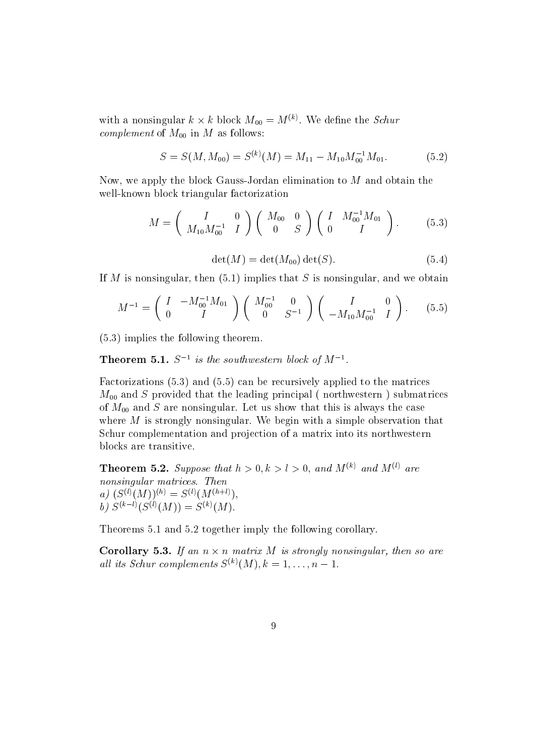with a nonsingular  $k \times k$  block  $M_{00} = M^{(*)}$ . We define the *Schur* complement of MOO in MOO in M as follows: the MOO in M as follows: the MOO in M as follows: the M as follows: the M as follows: the M as follows: the M as follows: the M as follows: the M as follows: the M as follows: the

$$
S = S(M, M_{00}) = S^{(k)}(M) = M_{11} - M_{10} M_{00}^{-1} M_{01}.
$$
 (5.2)

Now, we apply the block Gauss-Jordan elimination to  $M$  and obtain the well-known block triangular factorization

$$
M = \begin{pmatrix} I & 0 \\ M_{10} M_{00}^{-1} & I \end{pmatrix} \begin{pmatrix} M_{00} & 0 \\ 0 & S \end{pmatrix} \begin{pmatrix} I & M_{00}^{-1} M_{01} \\ 0 & I \end{pmatrix}.
$$
 (5.3)

$$
\det(M) = \det(M_{00}) \det(S). \tag{5.4}
$$

If M is nonsingular, then  $(5.1)$  implies that S is nonsingular, and we obtain

$$
M^{-1} = \begin{pmatrix} I & -M_{00}^{-1} M_{01} \\ 0 & I \end{pmatrix} \begin{pmatrix} M_{00}^{-1} & 0 \\ 0 & S^{-1} \end{pmatrix} \begin{pmatrix} I & 0 \\ -M_{10} M_{00}^{-1} & I \end{pmatrix}.
$$
 (5.5)

(5.3) implies the following theorem.

**Theorem 5.1.**  $S_1$  is the southwestern block of M<sub>1</sub>.

Factorizations (5.3) and (5.5) can be recursively applied to the matrices Modern that the leading principal (  $\alpha$  provided that the leading  $\alpha$  principal ( northwestern ) submatrices (  $\alpha$  principal (  $\alpha$  principal control of  $\alpha$  principal control of  $\alpha$  principal control of  $\alpha$  principa of Mood and S are not for the case of the show that the case of the case of the case of the case of the case o where M is strongly nonsingular. We begin with a simple observation that Schur complementation and projection of a matrix into its northwestern blocks are transitive.

**Theorem 5.2.** Suppose that  $h > 0, k > l > 0$ , and  $M^{(k)}$  and  $M^{(l)}$  are nonsingular matrices. Then a)  $(S^{(l)}(M))^{(h)} = S^{(l)}(M^{(h+l)})$ b)  $S^{(k-l)}(S^{(l)}(M)) = S^{(k)}(M).$ 

Theorems 5.1 and 5.2 together imply the following corollary.

**Corollary 5.3.** If an  $n \times n$  matrix M is strongly nonsingular, then so are all its Schur complements  $S^{(k)}(M), k = 1, \ldots, n - 1$ .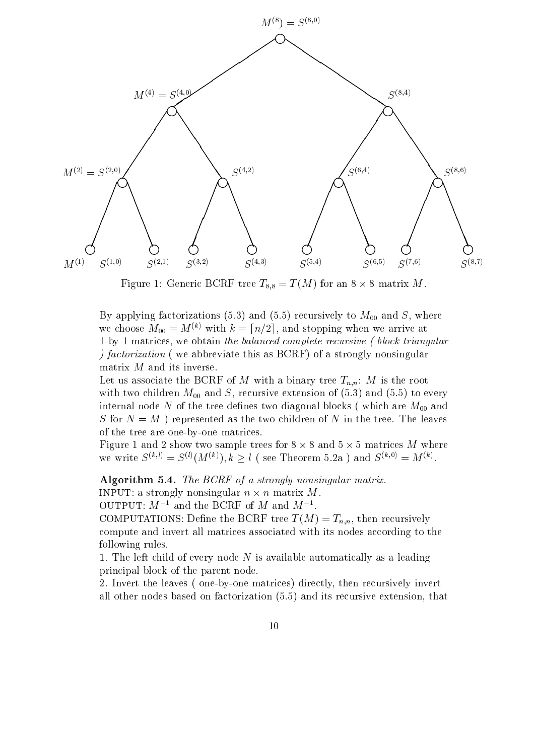

Figure 1: Generic BCRF tree  $I_{8,8} = I(M)$  for an 8  $\times$  8 matrix M.

 $\Gamma$  applying factorizations (5.3) and (5.5) recursively to MOO and S, where  $\sim$  , where  $\sim$ we choose  $M_{00} = M^{(k)}$  with  $k = \lfloor n/2 \rfloor$ , and stopping when we arrive at 1-by-1 matrices, we obtain the balanced complete recursive ( block triangular ) factorization ( we abbreviate this as BCRF) of a strongly nonsingular matrix  $M$  and its inverse.

Let us associate the BCRF of M with a binary tree  $T_{n,n}$ : M is the root with two children M00 and S, recursive extension of (5.3)  $\mu$  and (5.3) to every  $\mu$ internal node  $\alpha$  of the tree definition of the tree definition  $\alpha$ S for  $N = M$ ) represented as the two children of N in the tree. The leaves of the tree are one-by-one matrices.

Figure 1 and 2 show two sample trees for  $8 \times 8$  and  $5 \times 5$  matrices M where we write  $S^{(\kappa,\iota)} = S^{(\iota)}(M^{(\kappa)}), k \geq l$  (see Theorem 5.2a) and  $S^{(\kappa,\iota)} = M^{(\kappa)}$ .

Algorithm 5.4. The BCRF of a strongly nonsingular matrix. INPUT: a strongly nonsingular  $n \times n$  matrix M.

OUTPUT:  $M^{-1}$  and the BCRF of M and  $M^{-1}$ .

COMPUTATIONS: Define the BCRF tree  $T(M) = T_{n,n}$ , then recursively compute and invert all matrices associated with its nodes according to the following rules.

1. The left child of every node  $N$  is available automatically as a leading principal block of the parent node.

2. Invert the leaves ( one-by-one matrices) directly, then recursively invert all other nodes based on factorization (5.5) and its recursive extension, that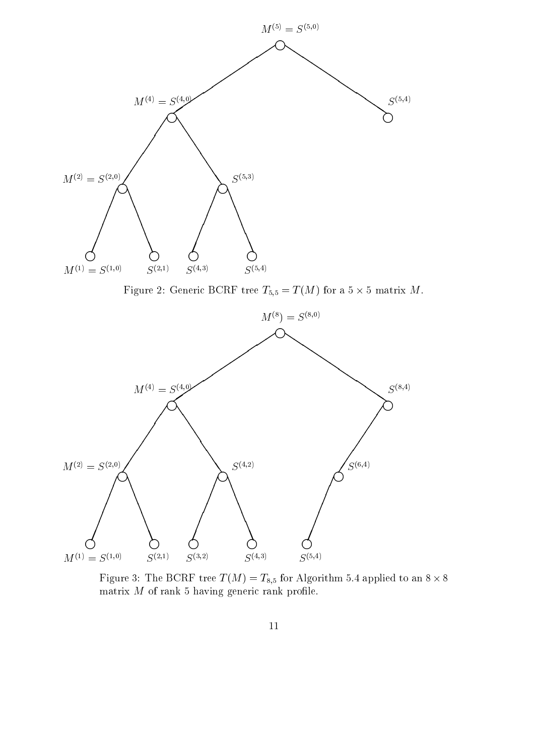

Figure 2: Generic BURF tree  $T_{5,5} = T(M)$  for a 5  $\times$  5 matrix M.



Figure 3: The BURF tree  $T(M) = T_{8,5}$  for Algorithm 5.4 applied to an  $8 \times 8$ matrix  $M$  of rank 5 having generic rank profile.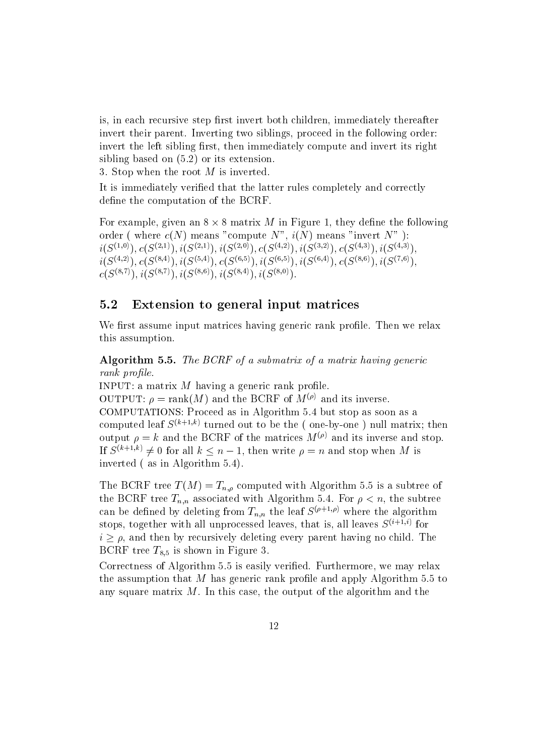is, in each recursive step first invert both children, immediately thereafter invert their parent. Inverting two siblings, proceed in the following order: invert the left sibling first, then immediately compute and invert its right sibling based on (5.2) or its extension.

3. Stop when the root  $M$  is inverted.

It is immediately verified that the latter rules completely and correctly define the computation of the BCRF.

For example, given an  $8 \times 8$  matrix M in Figure 1, they define the following order ( where  $c(N)$  means "compute N",  $i(N)$  means "invert N"):  $i(S^{(1,0)}), c(S^{(2,1)}), i(S^{(2,1)}), i(S^{(2,0)}), c(S^{(4,2)}), i(S^{(3,2)}), c(S^{(4,3)}), i(S^{(4,3)}).$  $i(S^{(4,2)}), c(S^{(8,4)}), i(S^{(5,4)}), c(S^{(6,5)}), i(S^{(6,5)}), i(S^{(6,4)}), c(S^{(8,6)}), i(S^{(7,6)}),$  $c(S^{(8,7)})$ ;  $i(S^{(8,7)})$ ;  $i(S^{(8,6)})$ ;  $i(S^{(8,4)})$ ;  $i(S^{(8,0)})$ ;

## 5.2 Extension to general input matrices

We first assume input matrices having generic rank profile. Then we relax this assumption.

Algorithm 5.5. The BCRF of a submatrix of a matrix having generic rank profile.

INPUT: a matrix  $M$  having a generic rank profile. OUTPUT:  $\rho = \text{rank}(M)$  and the BCRF of  $M^{(\rho)}$  and its inverse. COMPUTATIONS: Proceed asin Algorithm 5.4 but stop as soon as a computed leaf  $S^{(k+1,k)}$  turned out to be the (one-by-one) null matrix; then output  $\rho = k$  and the BCRF of the matrices  $M^{(\rho)}$  and its inverse and stop. If  $S^{(k+1,k)} \neq 0$  for all  $k \leq n-1$ , then write  $\rho = n$  and stop when M is inverted ( as in Algorithm 5.4).

The BCRF tree  $T(M) = T_{n,q}$  computed with Algorithm 5.5 is a subtree of the BCRF tree  $T_{n,n}$  associated with Algorithm 5.4. For  $\rho < n$ , the subtree can be defined by deleting from  $T_{n,n}$  the leaf  $S^{(\rho+1,\rho)}$  where the algorithm stops, together with all unprocessed leaves, that is, all leaves  $S^{(i+1,i)}$  for  $i > \rho$ , and then by recursively deleting every parent having no child. The BCRF tree  $T_{8,5}$  is shown in Figure 3.

Correctness of Algorithm 5.5 is easily verified. Furthermore, we may relax the assumption that  $M$  has generic rank profile and apply Algorithm 5.5 to any square matrix  $M$ . In this case, the output of the algorithm and the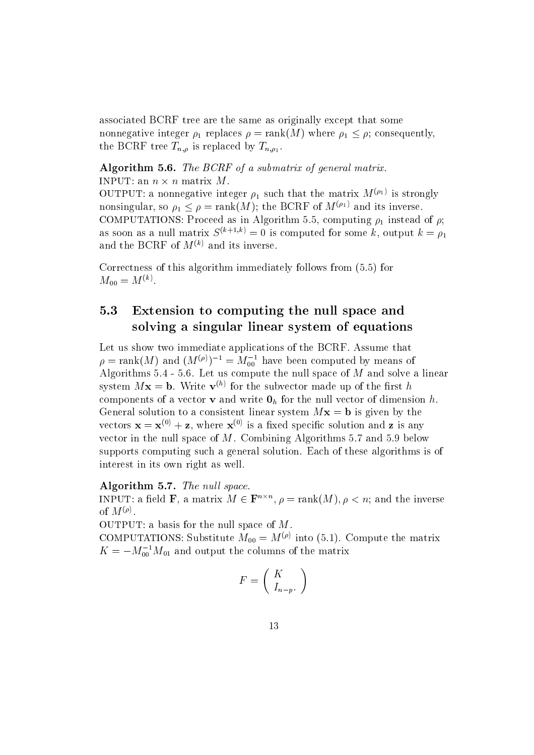associated BCRF tree are the same as originally except that some nonnegative integer  $\rho_1$  replaces  $\rho = \text{rank}(M)$  where  $\rho_1 \leq \rho$ ; consequently, the BCRF tree  $T_{n,\rho}$  is replaced by  $T_{n,\rho_1}$ 

## Algorithm 5.6. The BCRF of a submatrix of general matrix.

INPUT: an  $n \times n$  matrix  $M$ . OUTPUT: a nonnegative integer  $\rho_1$  such that the matrix  $M^{(n+1)}$  is strongly nonsingular, so  $\rho_1 \leq \rho = \text{rank}(M)$ ; the BCRF of  $M^{(\rho_1)}$  and its inverse. COMPUTATIONS: Proceed asin Algorithm 5.5, computing 1 instead of ; as soon as a null matrix  $S^{(k+1,k)} = 0$  is computed for some k, output  $k = \rho_1$ and the BCRF of  $M^{(k)}$  and its inverse.

Correctness of this algorithm immediately follows from (5.5) for  $M_{00} = M^{\scriptscriptstyle (\vee\vee)}.$ 

## 5.3 Extension to computing the null space and solving a singular linear system of equations

Let us show two immediate applications of the BCRF. Assume that  $\rho = \text{rank}(M)$  and  $(M^{(\nu)})^{-1} = M_{00}^{-1}$  have been computed by means of Algorithms  $5.4$  - 5.6. Let us compute the null space of  $M$  and solve a linear system  $Mx = b$ . Write  $\mathbf{v}^{(h)}$  for the subvector made up of the first h components of a vector **v** and write  $\mathbf{0}_h$  for the null vector of dimension h. General solution to a consistent linear system  $Mx = b$  is given by the vectors  $\mathbf{x} = \mathbf{x}^{(0)} + \mathbf{z}$ , where  $\mathbf{x}^{(0)}$  is a fixed specific solution and **z** is any vector in the null space of M. Combining Algorithms 5.7 and 5.9 below supports computing such a general solution. Each of these algorithms is of interest in its own right as well.

### Algorithm 5.7. The null space.

INPUT: a field **F**, a matrix  $M \in \mathbf{F}^{n \times n}$ ,  $\rho = \text{rank}(M)$ ,  $\rho \leq n$ ; and the inverse of  $M^{(v)}$ .

OUTPUT: a basis for the null space of M.

COMPUTATIONS: SUBSTITUTE  $M_{00} = M^{(e)}$  into (5.1). Compute the matrix  $K = -M_{00}^{3} M_{01}$  and output the columns of the matrix

$$
F = \left(\begin{array}{c} K \\ I_{n-p}.\end{array}\right)
$$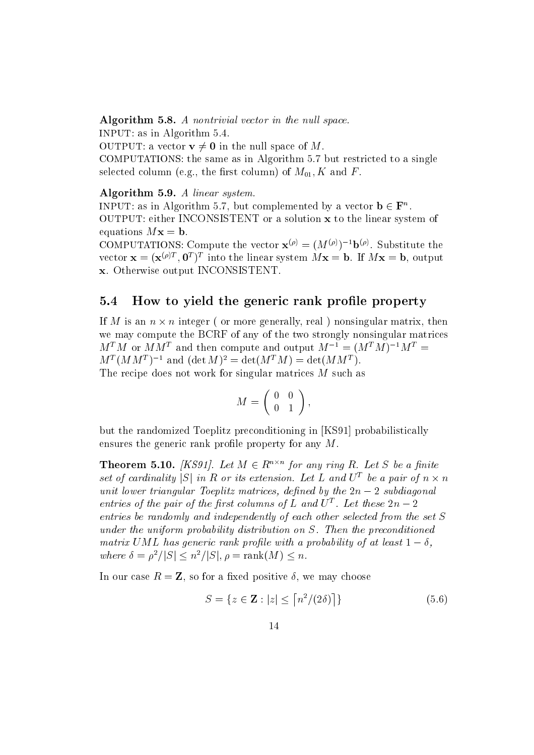Algorithm 5.8. A nontrivial vector in the null space.

INPUT: as in Algorithm 5.4.

OUTPUT: a vector  $\mathbf{v} \neq \mathbf{0}$  in the null space of M.

COMPUTATIONS: the same as in Algorithm 5.7 but restricted to a single selected column (e.g., the first column) of  $M_{01}$ , K and F.

Algorithm 5.9. A linear system.

INPUT: as in Algorithm 5.7, but complemented by a vector  $\mathbf{b} \in \mathbf{F}^n$ . OUTPUT: either INCONSISTENT or a solution x to the linear system of equations  $Mx = b$ .

COMPUTATIONS: Compute the vector  ${\bf x}^{\varphi\gamma} = (M^{\varphi\gamma})^{-1}{\bf D}^{\varphi\gamma}$ . Substitute the vector  ${\bf x} = ( {\bf x}^{(r)} )^T$ ,  ${\bf U}^T$  into the linear system  $M {\bf x} = {\bf D}$ . If  $M {\bf x} = {\bf D}$ , output x. Otherwise output INCONSISTENT.

## 5.4 How to yield the generic rank profile property

If M is an  $n \times n$  integer ( or more generally, real ) nonsingular matrix, then we may compute the BCRF of any of the two strongly nonsingular matrices  $M^T M$  or  $M M^T$  and then compute and output  $M^{-1} = (M^T M)^{-1} M^T =$  $M^-(M M^*)$  and (det  $M^- =$  det( $M^+ M$ ) = det( $M M^*$ ). The recipe does not work for singular matrices M such as

$$
M = \left(\begin{array}{cc} 0 & 0 \\ 0 & 1 \end{array}\right),
$$

but the randomized Toeplitz preconditioning in [KS91] probabilistically ensures the generic rank profile property for any  $M$ .

**Theorem 5.10.** (KS91). Let  $M \in \mathbb{R}^{n \times n}$  for any ring R. Let S be a finite set of cardinality  $|S|$  in R or its extension. Let L and  $U^T$  be a pair of  $n \times n$ unit lower triangular Toeplitz matrices, defined by the  $2n-2$  subdiagonal entries of the pair of the first columns of  $L$  and  $U$  . Let these  $2n-2$ entries be randomly and independently of each other selected from the set S under the uniform probability distribution on S. Then the preconditioned matrix UML has generic rank profile with a probability of at least  $1 - \delta$ , where  $\delta = \rho^2/|S| \leq n^2/|S|, \rho = \text{rank}(M) \leq n$ .

In our case  $R = \mathbf{Z}$ , so for a fixed positive  $\delta$ , we may choose

$$
S = \{ z \in \mathbf{Z} : |z| \le \left\lceil \frac{n^2}{2\delta} \right\rceil \} \tag{5.6}
$$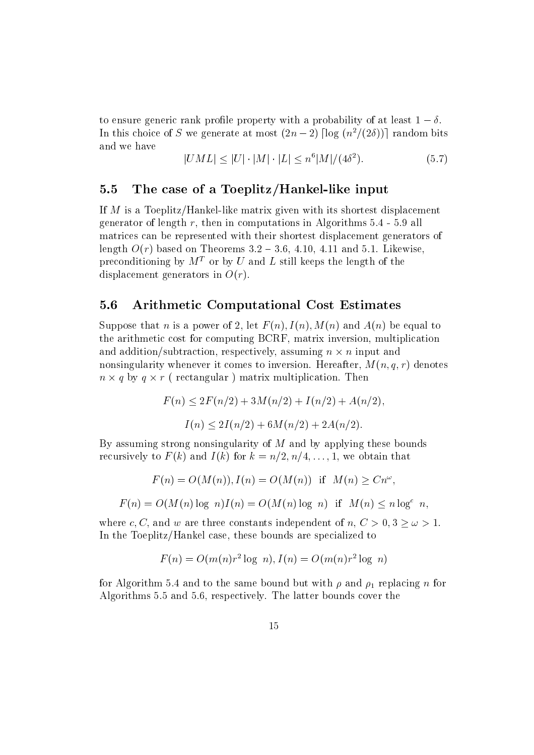to ensure generic rank profile property with a probability of at least  $1 - \delta$ . In this choice of S we generate at most  $(2n-2)$  [log  $(n^2/(2\delta))$ ] random bits and we have

$$
|UML| \le |U| \cdot |M| \cdot |L| \le n^6 |M| / (4\delta^2). \tag{5.7}
$$

## 5.5 The case of a Toeplitz/Hankel-like input

If M is a Toeplitz/Hankel-like matrix given with its shortest displacement generator of length r, then in computations in Algorithms  $5.4 - 5.9$  all matrices can be represented with their shortest displacement generators of length  $O(r)$  based on Theorems 3.2 – 3.6, 4.10, 4.11 and 5.1. Likewise. preconditioning by  $M<sup>T</sup>$  or by U and L still keeps the length of the displacement generators in  $O(r)$ .

## 5.6 Arithmetic Computational Cost Estimates

Suppose that n is a power of 2, let  $F(n)$ ,  $I(n)$ ,  $M(n)$  and  $A(n)$  be equal to the arithmetic cost for computing BCRF, matrix inversion, multiplication and addition/subtraction, respectively, assuming  $n \times n$  input and nonsingularity whenever it comes to inversion. Hereafter,  $M(n, q, r)$  denotes  $n \times q$  by  $q \times r$  (rectangular) matrix multiplication. Then

$$
F(n) \le 2F(n/2) + 3M(n/2) + I(n/2) + A(n/2),
$$
  

$$
I(n) \le 2I(n/2) + 6M(n/2) + 2A(n/2).
$$

By assuming strong nonsingularity of  $M$  and by applying these bounds recursively to  $F(k)$  and  $I(k)$  for  $k = n/2, n/4, \ldots, 1$ , we obtain that

$$
F(n) = O(M(n)), I(n) = O(M(n)) \text{ if } M(n) \geq Cn^{\omega},
$$

 $F(n) = O(M(n) \log n)I(n) = O(M(n) \log n)$  if  $M(n) \leq n \log^c n$ ,

where c, C, and w are three constants independent of  $n, C > 0, 3 \ge \omega > 1$ . In the Toeplitz/Hankel case, these bounds are specialized to

$$
F(n) = O(m(n)r^{2} \log n), I(n) = O(m(n)r^{2} \log n)
$$

for Algorithm 5.4 and to the same bound but with and 1  $r$  and 1 replacing n for  $1$  replacing n for  $1$ Algorithms 5.5 and 5.6, respectively. The latter bounds cover the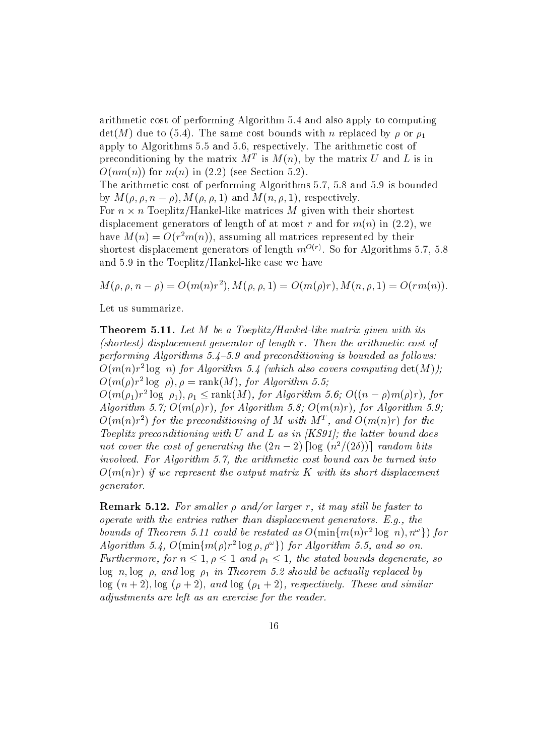arithmetic cost of performing Algorithm 5.4 and also apply to computing  $\det(M)$  due to (5.4). The same cost bounds with n replaced by  $\rho$  or  $\rho_1$ apply to Algorithms 5.5 and 5.6, respectively. The arithmetic cost of preconditioning by the matrix  $M^+$  is  $M(n)$ , by the matrix  $U$  and  $L$  is in  $O(nm(n))$  for  $m(n)$  in (2.2) (see Section 5.2). The arithmetic cost of performing Algorithms 5.7, 5.8 and 5.9 is bounded by  $M(\rho, \rho, n - \rho)$ ,  $M(\rho, \rho, 1)$  and  $M(n, \rho, 1)$ , respectively. For  $n \times n$  loeplitz/Hankel-like matrices M given with their shortest displacement generators of length of at most r and for  $m(n)$  in (2.2), we have  $M(n) = O(T^2m(n))$ , assuming all matrices represented by their shortest displacement generators of length  $m^2$   $\vee$  . So for Algorithms 5.7, 5.8 and 5.9 in the Toeplitz/Hankel-like case we have

 $M(\rho, \rho, n - \rho) = O(m(n)r^{-1}), M(\rho, \rho, 1) = O(m(\rho)r), M(n, \rho, 1) = O(rm(n)).$ 

Let us summarize.

Theorem 5.11. Let M be a Toeplitz/Hankel-like matrix given with its (shortest) displacement generator of length r. Then the arithmetic cost of performing Algorithms  $5.4-5.9$  and preconditioning is bounded as follows:  $O(m(n)r^2 \log n)$  for Algorithm 5.4 (which also covers computing  $\det(M)$ );  $O(m(\rho)r^2 \log \rho)$ ,  $\rho = \text{rank}(M)$ , for Algorithm 5.5;  $O(m(\rho_1)r^2\log \rho_1), \rho_1\leq \text{rank}(M),$  for Algorithm 5.6;  $O((n-\rho)m(\rho)r),$  for Algorithm 5.7;  $O(m(\rho)r)$ , for Algorithm 5.8;  $O(m(n)r)$ , for Algorithm 5.9;  $O(m(n)r^2)$  for the preconditioning of M with MT, and  $O(m(n)r)$  for the Toeplitz preconditioning with U and L as in  $[KS91]$ ; the latter bound does not cover the cost of generating the  $(2n-2)$  [log  $(n^2/(2\delta))$ ] random bits involved. For Algorithm 5.7, the arithmetic cost bound can be turned into  $O(m(n)r)$  if we represent the output matrix K with its short displacement generator.

**Remark 5.12.** For smaller  $\rho$  and/or larger r, it may still be faster to operate with the entries rather than displacement generators. E.g., the bounds of Theorem 5.11 could be restated as  $O(\min\{m(n)r^2\log n), n^{\omega}\})$  for Algorithm 5.4,  $O(\min\{m(\rho)r^2\log\rho,\rho^\omega\})$  for Algorithm 5.5, and so on. Furthermore, for  $n \leq 1, \rho \leq 1$  and  $\rho_1 \leq 1$ , the stated bounds degenerate, so log n; log ; and log 1 in Theorem 5.2 should be actual ly replaced by log (n + 2); log ( + 2); and log (1 + 2), respectively. These and similar adjustments are left as an exercise for the reader.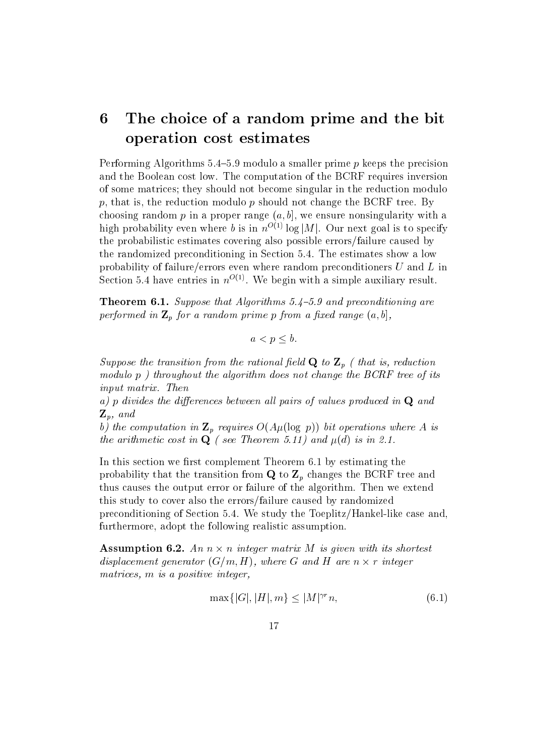## 6The choice of a random prime and the bit operation cost estimates

Performing Algorithms  $5.4{\text -}5.9$  modulo a smaller prime p keeps the precision and the Boolean cost low. The computation of the BCRF requires inversion of some matrices; they should not become singular in the reduction modulo p, that is, the reduction modulo p should not change the BCRF tree. By choosing random p in a proper range  $(a, b]$ , we ensure nonsingularity with a high probability even where b is in  $n^{O(1)} \log |M|$ . Our next goal is to specify the probabilistic estimates covering also possible errors/failure caused by the randomized preconditioning in Section 5.4. The estimates show a low probability of failure/errors even where random preconditioners  $U$  and  $L$  in Section 5.4 have entries in  $n^{0.8}$ . We begin with a simple auxiliary result.

**Theorem 6.1.** Suppose that Algorithms 5.4–5.9 and preconditioning are performed in  $\mathbb{Z}_p$  for a random prime p from a fixed range  $(a, b]$ ,

$$
a < p \le b.
$$

Suppose the transition from the rational field  $Q$  to  $Z_p$  (that is, reduction modulo p) throughout the algorithm does not change the BCRF tree of its input matrix. Then

a) p divides the differences between all pairs of values produced in  $Q$  and  $\mathbf{Z}_p$ , and

b) the computation in  $\mathbb{Z}_p$  requires  $O(A\mu(\log p))$  bit operations where A is the arithmetic cost in  $Q$  ( see Theorem 5.11) and  $\mu(d)$  is in 2.1.

In this section we first complement Theorem 6.1 by estimating the probability that the transition from  $Q$  to  $Z_p$  changes the BCRF tree and thus causes the output error or failure of the algorithm. Then we extend this study to cover also the errors/failure caused by randomized preconditioning of Section 5.4. We study the Toeplitz/Hankel-like case and, furthermore, adopt the following realistic assumption.

**Assumption 6.2.** An  $n \times n$  integer matrix M is given with its shortest displacement generator  $(G/m, H)$ , where G and H are n  $\times$  r integer matrices, m is a positive integer.

$$
\max\{|G|, |H|, m\} \le |M|^{\gamma r} n,\tag{6.1}
$$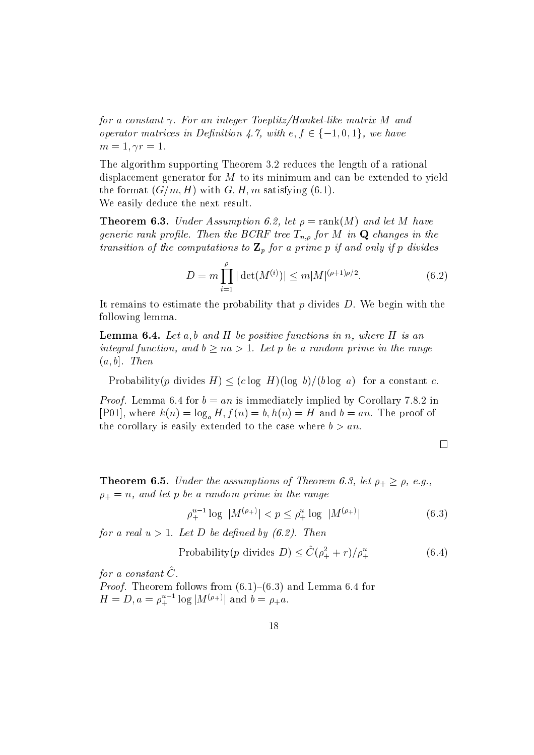for a constant  $\gamma$ . For an integer Toeplitz/Hankel-like matrix M and operator matrices in Definition 4.7, with  $e, f \in \{-1, 0, 1\}$ , we have  $m=1, \gamma r=1.$ 

The algorithm supporting Theorem 3.2 reduces the length of a rational displacement generator for M to its minimum and can be extended to yield the format  $(G/m, H)$  with  $G, H, m$  satisfying (6.1). We easily deduce the next result.

**Theorem 6.3.** Under Assumption 6.2, let  $\rho = \text{rank}(M)$  and let M have generic rank profile. Then the BCRF tree  $T_{n,\rho}$  for M in **Q** changes in the transition of the computations to  $\mathbf{Z}_p$  for a prime p if and only if p divides

$$
D = m \prod_{i=1}^{\rho} |\det(M^{(i)})| \le m |M|^{(\rho+1)\rho/2}.
$$
 (6.2)

It remains to estimate the probability that  $p$  divides  $D$ . We begin with the following lemma.

**Lemma 6.4.** Let  $a, b$  and  $H$  be positive functions in  $n$ , where  $H$  is an integral function, and  $b > na > 1$ . Let p be a random prime in the range  $(a, b]$ . Then

Probability(p divides  $H \leq (c \log H)(\log b)/(b \log a)$  for a constant c.

*Proof.* Lemma 6.4 for  $b = an$  is immediately implied by Corollary 7.8.2 in [P01], where  $k(n) = \log_a H$ ,  $f(n) = b$ ,  $h(n) = H$  and  $b = an$ . The proof of the corollary is easily extended to the case where  $b > an$ .

$$
\Box
$$

**Theorem 6.5.** Under the assumptions of Theorem 6.3, let  $\rho_+ \geq \rho$ , e.g.,  $\mathbf r$  is an and let p be a random prime in the random prime in the random prime in the random prime in the range in the range  $\mathbf r$ 

$$
\rho_{+}^{u-1} \log |M^{(\rho_{+})}| < p \le \rho_{+}^{u} \log |M^{(\rho_{+})}| \tag{6.3}
$$

for a real  $u > 1$ . Let D be defined by  $(6.2)$ . Then

$$
Probability(p \text{ divides } D) \le \hat{C}(\rho_+^2 + r)/\rho_+^u \tag{6.4}
$$

for a constant  $\hat{C}$ .

*Proof.* Theorem follows from  $(6.1)-(6.3)$  and Lemma 6.4 for  $H = D, a = \rho_{+}^{u-1} \log |M^{(\rho_{+})}|$  and  $b = \rho_{+}a$ .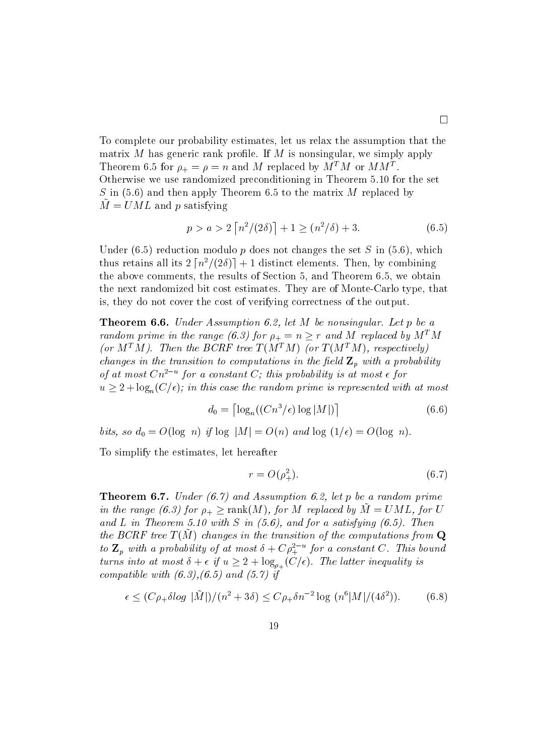$\square$ matrix  $M$  has generic rank profile. If  $M$  is nonsingular, we simply apply Theorem 6.5 for  $p_{+} = p = n$  and M replaced by M M or MM. Otherwise we use randomized preconditioning in Theorem 5.10 for the set S in  $(5.6)$  and then apply Theorem 6.5 to the matrix M replaced by  $\tilde{M} = UML$  and p satisfying

$$
p > a > 2\left\lceil \frac{n^2}{2\delta} \right\rceil + 1 \ge \left( \frac{n^2}{\delta} \right) + 3. \tag{6.5}
$$

Under  $(6.5)$  reduction modulo p does not changes the set S in  $(5.6)$ , which thus retains all its  $2\left[n^2/(2\delta)\right] + 1$  distinct elements. Then, by combining the above comments, the results of Section 5, and Theorem 6.5, we obtain the next randomized bit cost estimates. They are of Monte-Carlo type, that is, they do not cover the cost of verifying correctness of the output.

Theorem 6.6. Under Assumption 6.2, let M be nonsingular. Let p be a random prime in the range (6.3) for  $\rho_+ = n \geq r$  and M replaced by  $M^+M$ (or  $M^{T}M$ ). Then the BCRF tree  $T(M^{T}M)$  (or  $T(M^{T}M)$ , respectively) changes in the transition to computations in the field  $\mathbf{Z}_p$  with a probability of at most  $\mathcal{C}n^-$  and  $\sigma$  constant  $\mathcal{C}$ ; this probability is at most  $\epsilon$  for  $u > 2 + \log_n(C/\epsilon)$ ; in this case the random prime is represented with at most

$$
d_0 = \left\lceil \log_n((Cn^3/\epsilon)\log|M|) \right\rceil \tag{6.6}
$$

bits, so  $d_0 = O(\log n)$  if  $\log |M| = O(n)$  and  $\log (1/\epsilon) = O(\log n)$ .

To simplify the estimates, let hereafter

$$
r = O(\rho_+^2). \tag{6.7}
$$

**Theorem 6.7.** Under  $(6.7)$  and Assumption 6.2, let p be a random prime in the range (6.3) for  $\rho_+ \geq \text{rank}(M)$ , for M replaced by  $M = UML$ , for U and L in Theorem 5.10 with S in  $(5.6)$ , and for a satisfying  $(6.5)$ . Then the  $D$ CIT free T (M ) changes in the transition of the computations from  $Q$ to  $\mathbf{z}_p$  with a probability of at most  $\mathfrak{o} + \mathfrak{C} \rho_+^+$  for a constant  $\mathfrak{C}$ . This bound turns into at most  $\delta + \epsilon$  if  $u \geq 2 + \log_{\rho_+}(C/\epsilon)$ . The latter inequality is compatible with  $(6.3), (6.5)$  and  $(5.7)$  if

$$
\epsilon \le (C\rho_+ \delta \log |\tilde{M}|)/(n^2 + 3\delta) \le C\rho_+ \delta n^{-2} \log (n^6 |M|/(4\delta^2)). \tag{6.8}
$$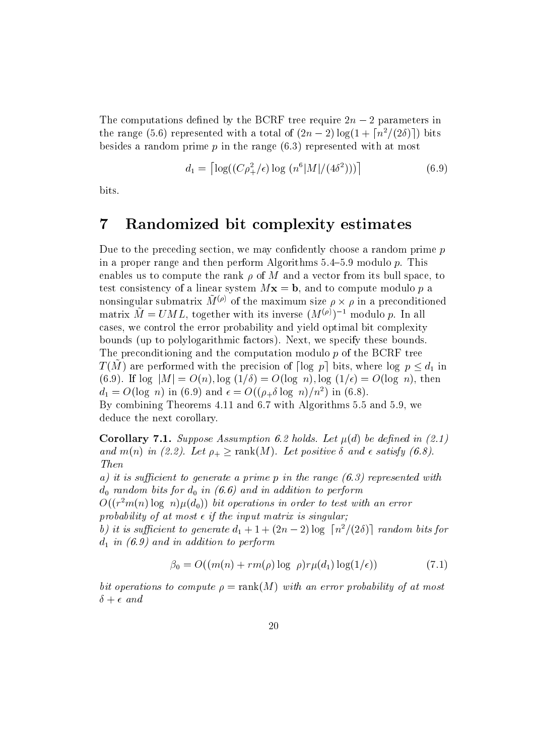The computations defined by the BCRF tree require  $2n - 2$  parameters in the range (5.6) represented with a total of  $(2n-2)\log(1+\lceil n^2/(2\delta)\rceil)$  bits besides a random prime  $p$  in the range  $(6.3)$  represented with at most

$$
d_1 = \left[ \log((C\rho_+^2/\epsilon) \log (n^6|M|/(4\delta^2))) \right] \tag{6.9}
$$

bits.

#### 7Randomized bit complexity estimates

Due to the preceding section, we may confidently choose a random prime  $p$ in a proper range and then perform Algorithms  $5.4{\text -}5.9$  modulo p. This enables us to compute the rank  $\rho$  of M and a vector from its bull space, to test consistency of a linear system  $Mx = b$ , and to compute modulo p a nonsingular submatrix  $M^{\vee\vee}$  of the maximum size  $\rho \times \rho$  in a preconditioned matrix  $\tilde{M} = UML$ , together with its inverse  $(M^{(\rho)})^{-1}$  modulo p. In all cases, we control the error probability and yield optimal bit complexity bounds (up to polylogarithmic factors). Next, we specify these bounds. The preconditioning and the computation modulo  $p$  of the BCRF tree  $T(M)$  are performed with the precision of  $\lceil \log\,p \rceil$  bits, where  $\log\,p \leq d_1$  in (6.9). If  $\log |M| = O(n)$ ,  $\log (1/\delta) = O(\log n)$ ,  $\log (1/\epsilon) = O(\log n)$ , then  $a_1 = O(\log n)$  in (6.9) and  $\epsilon = O((\rho_+ \delta \log n)/n^2)$  in (6.8). By combining Theorems 4.11 and 6.7 with Algorithms 5.5 and 5.9, we deduce the next corollary.

**Corollary 7.1.** Suppose Assumption 6.2 holds. Let  $\mu(d)$  be defined in (2.1) and  $m(n)$  in (2.2). Let  $\rho_+ \geq \text{rank}(M)$ . Let positive  $\delta$  and  $\epsilon$  satisfy (6.8). Then

a) it is sufficient to generate a prime p in the range  $(6.3)$  represented with dom bits for domination for the performance of the performance in addition to perform the contract of the performance of the performance of the performance of the performance of the performance of the performance of the pe

 $O((r^{-}m(n)\log~n)\mu(a_0))$  bit operations in order to test with an error probability of at most  $\epsilon$  if the input matrix is singular;

b) it is sufficient to generate  $d_1 + 1 + (2n-2) \log \left\lfloor \frac{n^2}{2\delta} \right\rfloor$  random bits for distribution to perform the performance of  $\alpha$  and in addition to perform the performance of  $\alpha$ 

$$
\beta_0 = O((m(n) + rm(\rho) \log \rho) r \mu(d_1) \log(1/\epsilon)) \tag{7.1}
$$

bit operations to compute  $\rho = \text{rank}(M)$  with an error probability of at most  $\delta + \epsilon$  and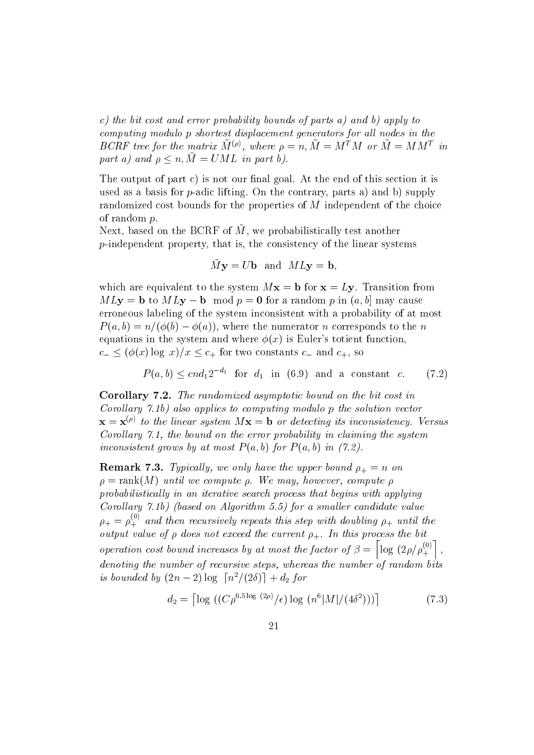c) the bit cost and error probability bounds of parts a) and b) apply to computing modulo p shortest displacement generators for all nodes in the BURF tree for the matrix  $M^{\vee\vee}$ , where  $\rho = n$ ,  $M = M^{\vee}M$  or  $M = M M^{\vee}$  in part a) and  $\rho \leq n$ ,  $\tilde{M} = UML$  in part b).

The output of part c) is not our final goal. At the end of this section it is used as a basis for  $p$ -adic lifting. On the contrary, parts a) and b) supply randomized cost bounds for the properties of M independent of the choice of random p.

 $N_{\rm CAL}$ , based on the BORF of M, we probabilistically test another  $p$ -independent property, that is, the consistency of the linear systems

$$
\tilde{M}y = Ub
$$
 and  $MLy = b$ ,

which are equivalent to the system  $Mx = b$  for  $x = Ly$ . Transition from  $MLy = b$  to  $MLy - b \mod p = 0$  for a random p in  $(a, b]$  may cause erroneous labeling of the system inconsistent with a probability of at most  $P(a, b) = n/(\phi(b) - \phi(a))$ , where the numerator n corresponds to the n equations in the system and where  $\phi(x)$  is Euler's totient function,  $c_{-} \leq (\phi(x) \log x)/x \leq c_{+}$  for two constants  $c_{-}$  and  $c_{+}$ , so

$$
P(a,b) \leq cnd_1 2^{-d_1} \quad \text{for } d_1 \text{ in (6.9) and a constant } c. \tag{7.2}
$$

Corollary 7.2. The randomized asymptotic bound on the bit cost in Corollary 7.1b) also applies to computing modulo p the solution vector  $\mathbf{x} = \mathbf{x}^{(\rho)}$  to the linear system  $M\mathbf{x} = \mathbf{b}$  or detecting its inconsistency. Versus Corollary 7.1, the bound on the error probability in claiming the system inconsistent grows by at most  $P(a, b)$  for  $P(a, b)$  in (7.2).

Remark 7.3. Typical ly, we only have the upper bound + <sup>=</sup> <sup>n</sup> on  $\rho = \text{rank}(M)$  until we compute  $\rho$ . We may, however, compute  $\rho$ probabilistically in an iterative search process that begins with applying Corollary 7.1b) (based on Algorithm 5.5) for a smaller candidate value  $\rho_+ = \rho_+^{\circ\circ}$  and then  $+$  and then recursively repeats this step with doubling  $\mu_{\rm T}$  with doubling  $\mu_{\rm T}$  $\begin{array}{ccc} \n\mathbf{r} & \mathbf{r} & \mathbf{r} \\
\mathbf{r} & \mathbf{r} & \mathbf{r} \\
\mathbf{r} & \mathbf{r} & \mathbf{r}\n\end{array}$ operation cost bound increases by at most the factor of  $\beta = \log (2\rho/\rho_+^{<sup>o</sup>})$ , material contracts and contracts are all the contracts of the contracts of the contracts of the contracts of the contracts of the contracts of the contracts of the contracts of the contracts of the contracts of the contrac denoting the number of recursive steps, whereas the number of random bits is bounded by  $(2n-2)\log\left\lceil \frac{n^2}{2\delta}\right\rceil + d_2$  for

$$
d_2 = \left\lceil \log \left( \left( C \rho^{0.5 \log (2\rho)} / \epsilon \right) \log \left( n^6 |M| / (4\delta^2) \right) \right) \right\rceil \tag{7.3}
$$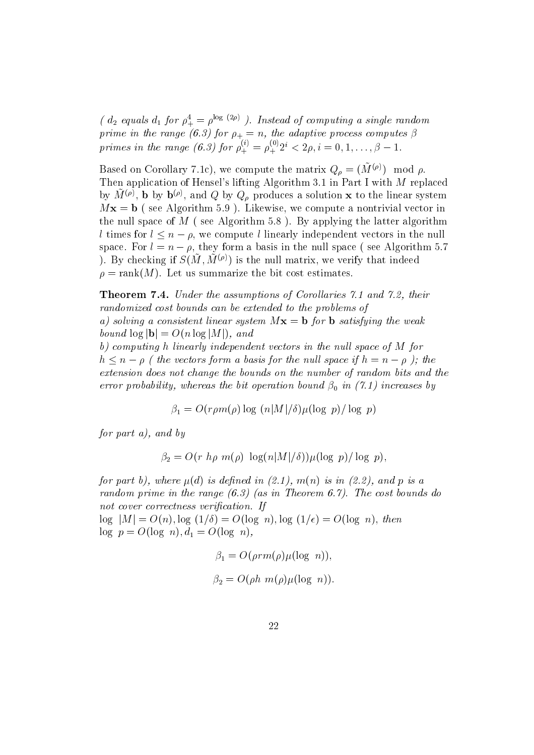(  $a_2$  equals  $a_1$  for  $\rho^+_+ = \rho^{+ \circ - \circ + \circ}$  ). Instead of computing a single random prime in the range (6.3) for + <sup>=</sup> n, the adaptive process computes  primes in the range (6.3) for  $\rho_{\perp}^{\circ\circ} = \rho_{\perp}^{\circ\circ}$  $\zeta_+^0 = \rho_+^{0.02} i < 2\rho, i$ +

Based on Corollary 7.1c), we compute the matrix  $Q_{\rho} = (\tilde{M}^{(\rho)}) \mod \rho$ . Then application of Hensel's lifting Algorithm 3.1 in Part I with M replaced by  $M^{\vee \nu}$ , **b** by  $D^{\vee \nu}$ , and Q by  $Q_{\rho}$  produces a solution **x** to the linear system  $Mx = b$  (see Algorithm 5.9). Likewise, we compute a nontrivial vector in the null space of  $M$  (see Algorithm 5.8). By applying the latter algorithm l times for  $l \leq n - \rho$ , we compute l linearly independent vectors in the null space. For  $l = n - \rho$ , they form a basis in the null space (see Algorithm 5.7) ). By checking if  $S(\tilde{M}, \tilde{M}^{(\rho)})$  is the null matrix, we verify that indeed  $\rho = \text{rank}(M)$ . Let us summarize the bit cost estimates.

**Theorem 7.4.** Under the assumptions of Corollaries 7.1 and 7.2, their randomized cost bounds can be extended to the problems of a) solving a consistent linear system  $Mx = b$  for b satisfying the weak bound  $\log |\mathbf{b}| = O(n \log |M|)$ , and

b) computing h linearly independent vectors in the null space of  $M$  for  $h \le n - \rho$  (the vectors form a basis for the null space if  $h = n - \rho$ ); the extension does not change the bounds on the number of random bits and the error probability, whereas the bit operation bound bound bound bound bound bound bound bound bound bound bound bound bound bound bound bound bound bound bound bound bound bound bound bound bound bound bound bound bound bo

 $\beta_1 = O(r \rho m(\rho) \log(n|M|/\delta)\mu(\log p)/\log p)$ 

for part a), and by

$$
\beta_2 = O(r \; h\rho \; m(\rho) \; \log(n|M|/\delta)) \mu(\log \; p)/\log \; p),
$$

for part b), where  $\mu(d)$  is defined in (2.1),  $m(n)$  is in (2.2), and p is a random prime in the range  $(6.3)$  (as in Theorem 6.7). The cost bounds do not cover correctness verification. If

 $\log |M| = O(n)$ ,  $\log (1/\delta) = O(\log n)$ ,  $\log (1/\epsilon) = O(\log n)$ , then log p  $\alpha$  is a positive point of  $\alpha$ 

$$
\beta_1 = O(\rho r m(\rho) \mu(\log n)),
$$
  

$$
\beta_2 = O(\rho h m(\rho) \mu(\log n)).
$$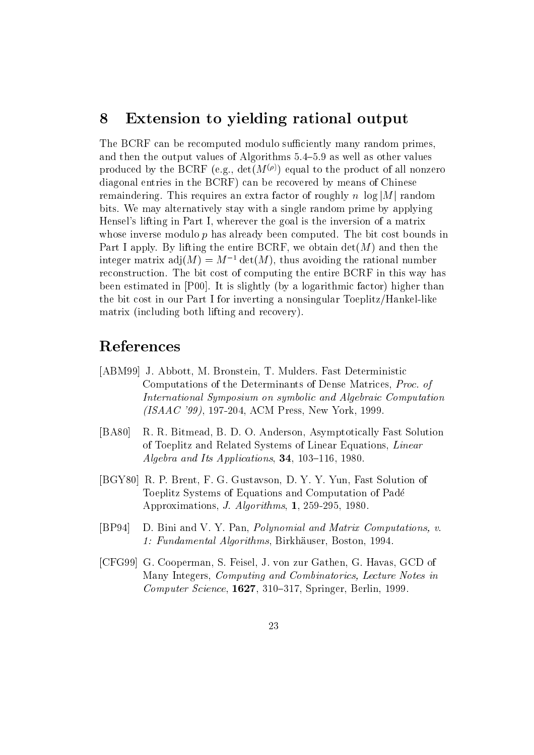#### 8Extension to yielding rational output

The BCRF can be recomputed modulo sufficiently many random primes, and then the output values of Algorithms  $5.4{\text -}5.9$  as well as other values produced by the BCRF (e.g.,  $det(M^{(\rho)})$  equal to the product of all nonzero diagonal entries in the BCRF) can be recovered by means of Chinese remaindering. This requires an extra factor of roughly n  $log|M|$  random bits. We may alternatively stay with a single random prime by applying Hensel's lifting in Part I, wherever the goal is the inversion of a matrix whose inverse modulo  $p$  has already been computed. The bit cost bounds in Part I apply. By lifting the entire BCRF, we obtain  $\det(M)$  and then the integer matrix  $adj(M) = M^{-1} det(M)$ , thus avoiding the rational number reconstruction. The bit cost of computing the entire BCRF in this way has been estimated in [P00]. It is slightly (by a logarithmic factor) higher than the bit cost in our Part I for inverting a nonsingular Toeplitz/Hankel-like matrix (including both lifting and recovery).

## References

- [ABM99] J. Abbott, M. Bronstein, T. Mulders. Fast Deterministic Computations of the Determinants of Dense Matrices, Proc. of International Symposium on symbolic and Algebraic Computation (ISAAC '99), 197-204, ACM Press, New York, 1999.
- [BA80] R. R. Bitmead, B. D. O. Anderson, Asymptotically Fast Solution of Toeplitz and Related Systems of Linear Equations, Linear Algebra and Its Applications,  $34$ , 103-116, 1980.
- [BGY80] R. P. Brent, F. G. Gustavson, D. Y. Y. Yun, Fast Solution of Toeplitz Systems of Equations and Computation of Pade Approximations, J. Algorithms, 1, 259-295, 1980.
- [BP94] D. Bini and V. Y. Pan, Polynomial and Matrix Computations, v. 1: Fundamental Algorithms, Birkhauser, Boston, 1994.
- [CFG99] G. Cooperman, S. Feisel, J. von zur Gathen, G. Havas, GCD of Many Integers, Computing and Combinatorics, Lecture Notes in  $Computer Science, 1627, 310-317, Springer, Berlin, 1999.$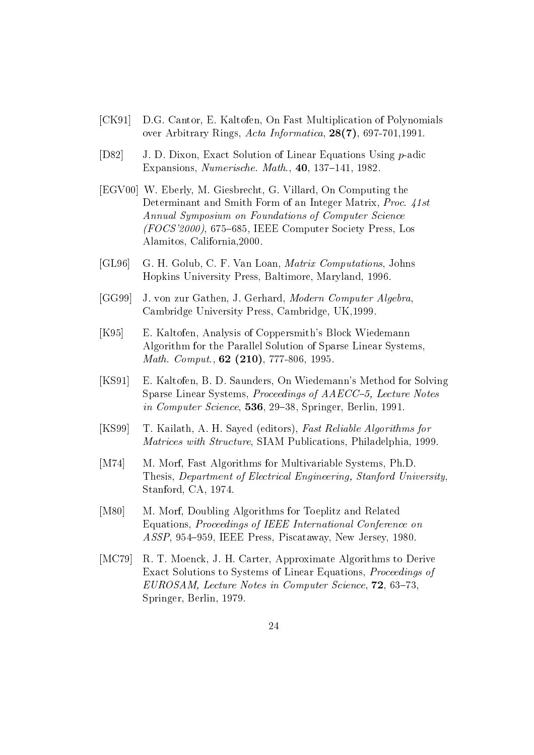- [CK91] D.G. Cantor, E. Kaltofen, On Fast Multiplication of Polynomials over Arbitrary Rings, Acta Informatica, 28(7), 697-701,1991.
- [D82] J. D. Dixon, Exact Solution of Linear Equations Using p-adic Expansions, Numerische. Math.,  $40$ , 137–141, 1982.
- [EGV00] W. Eberly, M. Giesbrecht, G. Villard, On Computing the Determinant and Smith Form of an Integer Matrix, *Proc.* 41st Annual Symposium on Foundations of Computer Science  $(FOCS'2000)$ , 675–685, IEEE Computer Society Press, Los Alamitos, California,2000.
- [GL96] G. H. Golub, C. F. Van Loan, Matrix Computations, Johns Hopkins University Press, Baltimore, Maryland, 1996.
- [GG99] J. von zur Gathen, J. Gerhard, Modern Computer Algebra, Cambridge University Press, Cambridge, UK,1999.
- [K95] E. Kaltofen, Analysis of Coppersmith's Block Wiedemann Algorithm for the Parallel Solution of Sparse Linear Systems, Math. Comput., 62 (210), 777-806, 1995.
- [KS91] E. Kaltofen, B. D. Saunders, On Wiedemann's Method for Solving Sparse Linear Systems, Proceedings of AAECC-5, Lecture Notes in Computer Science,  $536$ ,  $29-38$ , Springer, Berlin, 1991.
- [KS99] T. Kailath, A. H. Sayed (editors), Fast Reliable Algorithms for Matrices with Structure, SIAM Publications, Philadelphia, 1999.
- [M74] M. Morf, Fast Algorithms for Multivariable Systems, Ph.D. Thesis, Department of Electrical Engineering, Stanford University, Stanford, CA, 1974.
- [M80] M. Morf, Doubling Algorithms for Toeplitz and Related Equations, Proceedings of IEEE International Conference on ASSP, 954-959, IEEE Press, Piscataway, New Jersey, 1980.
- [MC79] R. T. Moenck, J. H. Carter, Approximate Algorithms to Derive Exact Solutions to Systems of Linear Equations, Proceedings of  $EUROSAM$ , Lecture Notes in Computer Science,  $72, 63-73$ , Springer, Berlin, 1979.